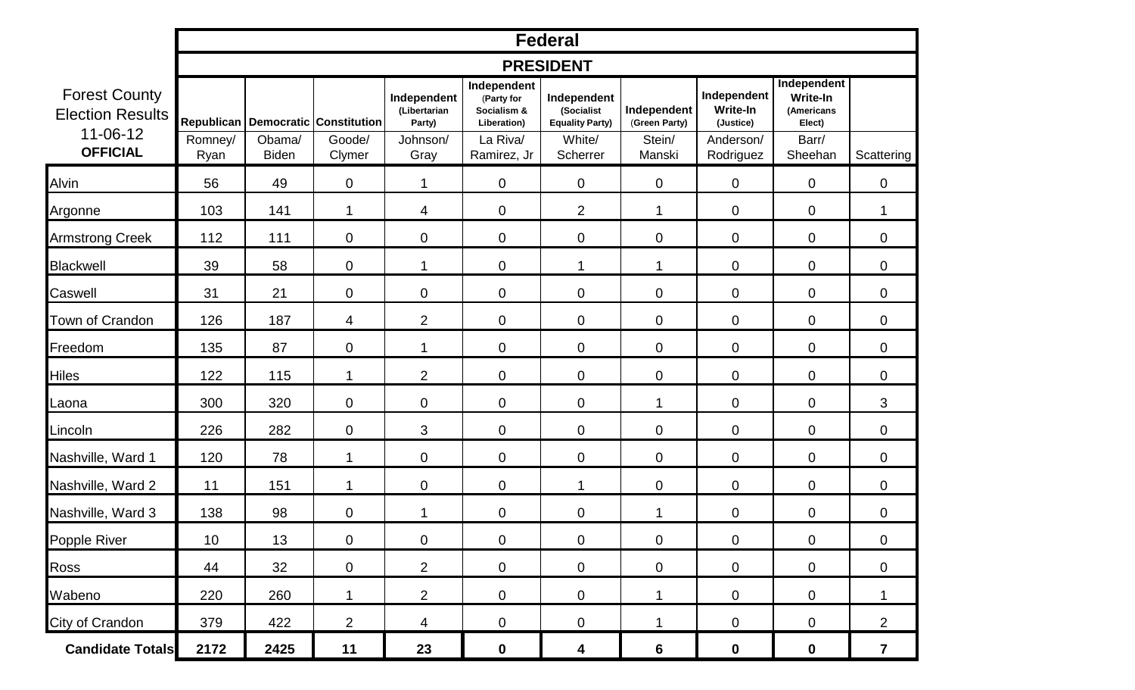|                                                                                      | <b>Federal</b>   |                        |                                                            |                                                           |                                                                                    |                                                                           |                                                  |                                                                       |                                                                            |                         |  |  |
|--------------------------------------------------------------------------------------|------------------|------------------------|------------------------------------------------------------|-----------------------------------------------------------|------------------------------------------------------------------------------------|---------------------------------------------------------------------------|--------------------------------------------------|-----------------------------------------------------------------------|----------------------------------------------------------------------------|-------------------------|--|--|
|                                                                                      | <b>PRESIDENT</b> |                        |                                                            |                                                           |                                                                                    |                                                                           |                                                  |                                                                       |                                                                            |                         |  |  |
| <b>Forest County</b><br><b>Election Results</b><br>$11 - 06 - 12$<br><b>OFFICIAL</b> | Romney/<br>Ryan  | Obama/<br><b>Biden</b> | Republican   Democratic   Constitution<br>Goode/<br>Clymer | Independent<br>(Libertarian<br>Party)<br>Johnson/<br>Gray | Independent<br>(Party for<br>Socialism &<br>Liberation)<br>La Riva/<br>Ramirez, Jr | Independent<br>(Socialist<br><b>Equality Party)</b><br>White/<br>Scherrer | Independent<br>(Green Party)<br>Stein/<br>Manski | Independent<br><b>Write-In</b><br>(Justice)<br>Anderson/<br>Rodriguez | Independent<br><b>Write-In</b><br>(Americans<br>Elect)<br>Barr/<br>Sheehan | Scattering              |  |  |
| Alvin                                                                                | 56               | 49                     | $\mathbf 0$                                                | 1                                                         | $\boldsymbol{0}$                                                                   | $\mathbf 0$                                                               | $\mathbf 0$                                      | 0                                                                     | $\mathbf 0$                                                                | $\mathbf 0$             |  |  |
| Argonne                                                                              | 103              | 141                    | 1                                                          | 4                                                         | $\mathbf 0$                                                                        | $\overline{2}$                                                            | 1                                                | 0                                                                     | $\mathbf 0$                                                                | 1                       |  |  |
| <b>Armstrong Creek</b>                                                               | 112              | 111                    | $\mathbf 0$                                                | $\mathbf 0$                                               | $\mathbf 0$                                                                        | $\mathbf 0$                                                               | $\mathbf 0$                                      | 0                                                                     | $\mathbf 0$                                                                | $\mathbf 0$             |  |  |
| <b>Blackwell</b>                                                                     | 39               | 58                     | $\mathbf 0$                                                | 1                                                         | $\overline{0}$                                                                     | $\mathbf 1$                                                               | 1                                                | 0                                                                     | $\mathbf 0$                                                                | $\mathbf 0$             |  |  |
| Caswell                                                                              | 31               | 21                     | $\mathbf 0$                                                | $\mathbf 0$                                               | $\mathbf 0$                                                                        | $\mathbf 0$                                                               | $\mathbf 0$                                      | 0                                                                     | $\mathbf 0$                                                                | $\mathbf 0$             |  |  |
| Town of Crandon                                                                      | 126              | 187                    | 4                                                          | $\overline{2}$                                            | $\boldsymbol{0}$                                                                   | $\mathbf 0$                                                               | $\mathbf 0$                                      | 0                                                                     | $\mathbf 0$                                                                | $\mathbf 0$             |  |  |
| Freedom                                                                              | 135              | 87                     | $\mathbf 0$                                                | $\mathbf 1$                                               | $\mathbf 0$                                                                        | $\mathbf 0$                                                               | $\mathbf 0$                                      | 0                                                                     | $\boldsymbol{0}$                                                           | $\mathbf 0$             |  |  |
| Hiles                                                                                | 122              | 115                    | 1                                                          | 2                                                         | $\overline{0}$                                                                     | $\mathbf 0$                                                               | $\mathbf 0$                                      | 0                                                                     | $\mathbf 0$                                                                | $\mathbf 0$             |  |  |
| Laona                                                                                | 300              | 320                    | $\mathbf 0$                                                | $\mathbf 0$                                               | $\mathbf 0$                                                                        | $\mathbf 0$                                                               | 1                                                | 0                                                                     | $\mathbf 0$                                                                | 3                       |  |  |
| Lincoln                                                                              | 226              | 282                    | $\mathbf 0$                                                | 3                                                         | $\overline{0}$                                                                     | $\mathbf 0$                                                               | $\mathbf 0$                                      | 0                                                                     | $\mathbf 0$                                                                | $\overline{0}$          |  |  |
| Nashville, Ward 1                                                                    | 120              | 78                     | 1                                                          | $\mathbf 0$                                               | $\overline{0}$                                                                     | $\mathbf 0$                                                               | $\mathbf 0$                                      | 0                                                                     | $\mathbf 0$                                                                | $\mathbf 0$             |  |  |
| Nashville, Ward 2                                                                    | 11               | 151                    | 1                                                          | $\pmb{0}$                                                 | $\mathbf 0$                                                                        | 1                                                                         | $\mathbf 0$                                      | 0                                                                     | $\mathbf 0$                                                                | $\mathbf 0$             |  |  |
| Nashville, Ward 3                                                                    | 138              | 98                     | $\mathbf 0$                                                | 1                                                         | $\mathbf 0$                                                                        | $\boldsymbol{0}$                                                          | 1                                                | 0                                                                     | $\mathbf 0$                                                                | $\mathbf 0$             |  |  |
| Popple River                                                                         | 10               | 13                     | $\mathbf 0$                                                | $\mathbf 0$                                               | $\boldsymbol{0}$                                                                   | $\mathbf 0$                                                               | $\mathbf 0$                                      | $\mathbf 0$                                                           | $\mathbf 0$                                                                | $\mathbf 0$             |  |  |
| Ross                                                                                 | 44               | 32                     | 0                                                          | $\overline{2}$                                            | $\mathbf 0$                                                                        | $\mathbf 0$                                                               | $\mathbf 0$                                      | 0                                                                     | $\mathbf 0$                                                                | 0                       |  |  |
| Wabeno                                                                               | 220              | 260                    | 1                                                          | $\overline{2}$                                            | $\mathbf 0$                                                                        | $\mathbf 0$                                                               | 1                                                | 0                                                                     | $\mathbf 0$                                                                | 1                       |  |  |
| City of Crandon                                                                      | 379              | 422                    | $\overline{2}$                                             | 4                                                         | $\overline{0}$                                                                     | $\overline{0}$                                                            | 1                                                | $\mathbf 0$                                                           | $\mathbf 0$                                                                | $\overline{2}$          |  |  |
| <b>Candidate Totals</b>                                                              | 2172             | 2425                   | 11                                                         | 23                                                        | $\mathbf 0$                                                                        | 4                                                                         | $6\phantom{1}6$                                  | $\boldsymbol{0}$                                                      | $\mathbf 0$                                                                | $\overline{\mathbf{7}}$ |  |  |